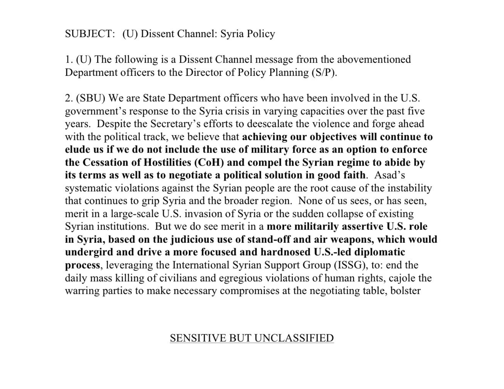## SUBJECT: (U) Dissent Channel: Syria Policy

1. (U) The following is a Dissent Channel message from the abovementioned Department officers to the Director of Policy Planning (S/P).

2. (SBU) We are State Department officers who have been involved in the U.S. government's response to the Syria crisis in varying capacities over the past five years. Despite the Secretary's efforts to deescalate the violence and forge ahead with the political track, we believe that achieving our objectives will continue to elude us if we do not include the use of military force as an option to enforce the Cessation of Hostilities (CoH) and compel the Syrian regime to abide by its terms as well as to negotiate a political solution in good faith. Asad's systematic violations against the Syrian people are the root cause of the instability that continues to grip Syria and the broader region. None of us sees, or has seen, merit in a large-scale U.S. invasion of Syria or the sudden collapse of existing Syrian institutions. But we do see merit in a more militarily assertive U.S. role in Syria, based on the judicious use of stand-off and air weapons, which would undergird and drive a more focused and hardnosed U.S.-led diplomatic process, leveraging the International Syrian Support Group (ISSG), to: end the daily mass killing of civilians and egregious violations of human rights, cajole the warring parties to make necessary compromises at the negotiating table, bolster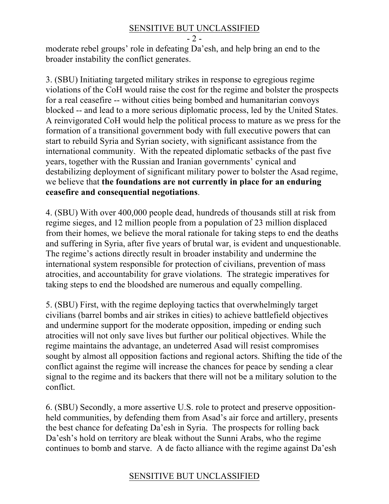#### SENSITIVE BUT UNCLASSIFIED

- 2 -

moderate rebel groups' role in defeating Da'esh, and help bring an end to the broader instability the conflict generates.

3. (SBU) Initiating targeted military strikes in response to egregious regime violations of the CoH would raise the cost for the regime and bolster the prospects for a real ceasefire -- without cities being bombed and humanitarian convoys blocked -- and lead to a more serious diplomatic process, led by the United States. A reinvigorated CoH would help the political process to mature as we press for the formation of a transitional government body with full executive powers that can start to rebuild Syria and Syrian society, with significant assistance from the international community. With the repeated diplomatic setbacks of the past five years, together with the Russian and Iranian governments' cynical and destabilizing deployment of significant military power to bolster the Asad regime, we believe that **the foundations are not currently in place for an enduring ceasefire and consequential negotiations**.

4. (SBU) With over 400,000 people dead, hundreds of thousands still at risk from regime sieges, and 12 million people from a population of 23 million displaced from their homes, we believe the moral rationale for taking steps to end the deaths and suffering in Syria, after five years of brutal war, is evident and unquestionable. The regime's actions directly result in broader instability and undermine the international system responsible for protection of civilians, prevention of mass atrocities, and accountability for grave violations. The strategic imperatives for taking steps to end the bloodshed are numerous and equally compelling.

5. (SBU) First, with the regime deploying tactics that overwhelmingly target civilians (barrel bombs and air strikes in cities) to achieve battlefield objectives and undermine support for the moderate opposition, impeding or ending such atrocities will not only save lives but further our political objectives. While the regime maintains the advantage, an undeterred Asad will resist compromises sought by almost all opposition factions and regional actors. Shifting the tide of the conflict against the regime will increase the chances for peace by sending a clear signal to the regime and its backers that there will not be a military solution to the conflict.

6. (SBU) Secondly, a more assertive U.S. role to protect and preserve oppositionheld communities, by defending them from Asad's air force and artillery, presents the best chance for defeating Da'esh in Syria. The prospects for rolling back Da'esh's hold on territory are bleak without the Sunni Arabs, who the regime continues to bomb and starve. A de facto alliance with the regime against Da'esh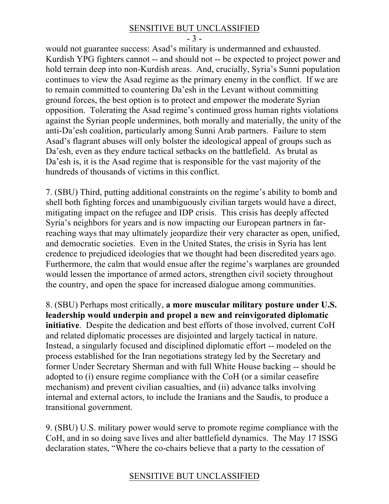#### SENSITIVE BUT UNCLASSIFIED

- 3 -

would not guarantee success: Asad's military is undermanned and exhausted. Kurdish YPG fighters cannot -- and should not -- be expected to project power and hold terrain deep into non-Kurdish areas. And, crucially, Syria's Sunni population continues to view the Asad regime as the primary enemy in the conflict. If we are to remain committed to countering Da'esh in the Levant without committing ground forces, the best option is to protect and empower the moderate Syrian opposition. Tolerating the Asad regime's continued gross human rights violations against the Syrian people undermines, both morally and materially, the unity of the anti-Da'esh coalition, particularly among Sunni Arab partners. Failure to stem Asad's flagrant abuses will only bolster the ideological appeal of groups such as Da'esh, even as they endure tactical setbacks on the battlefield. As brutal as Da'esh is, it is the Asad regime that is responsible for the vast majority of the hundreds of thousands of victims in this conflict.

7. (SBU) Third, putting additional constraints on the regime's ability to bomb and shell both fighting forces and unambiguously civilian targets would have a direct, mitigating impact on the refugee and IDP crisis. This crisis has deeply affected Syria's neighbors for years and is now impacting our European partners in farreaching ways that may ultimately jeopardize their very character as open, unified, and democratic societies. Even in the United States, the crisis in Syria has lent credence to prejudiced ideologies that we thought had been discredited years ago. Furthermore, the calm that would ensue after the regime's warplanes are grounded would lessen the importance of armed actors, strengthen civil society throughout the country, and open the space for increased dialogue among communities.

8. (SBU) Perhaps most critically, **a more muscular military posture under U.S. leadership would underpin and propel a new and reinvigorated diplomatic initiative**. Despite the dedication and best efforts of those involved, current CoH and related diplomatic processes are disjointed and largely tactical in nature. Instead, a singularly focused and disciplined diplomatic effort -- modeled on the process established for the Iran negotiations strategy led by the Secretary and former Under Secretary Sherman and with full White House backing -- should be adopted to (i) ensure regime compliance with the CoH (or a similar ceasefire mechanism) and prevent civilian casualties, and (ii) advance talks involving internal and external actors, to include the Iranians and the Saudis, to produce a transitional government.

9. (SBU) U.S. military power would serve to promote regime compliance with the CoH, and in so doing save lives and alter battlefield dynamics. The May 17 ISSG declaration states, "Where the co-chairs believe that a party to the cessation of